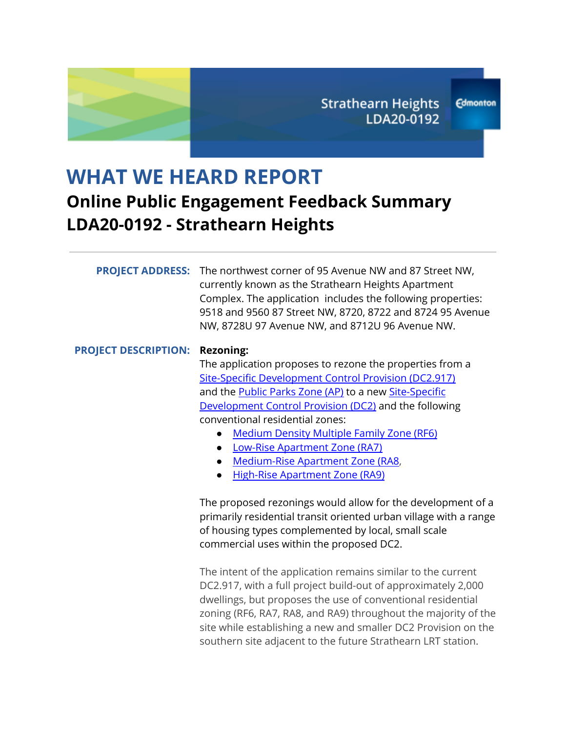# **WHAT WE HEARD REPORT Online Public Engagement Feedback Summary LDA20-0192 - Strathearn Heights**

|                             | <b>PROJECT ADDRESS:</b> The northwest corner of 95 Avenue NW and 87 Street NW,<br>currently known as the Strathearn Heights Apartment<br>Complex. The application includes the following properties:<br>9518 and 9560 87 Street NW, 8720, 8722 and 8724 95 Avenue<br>NW, 8728U 97 Avenue NW, and 8712U 96 Avenue NW.                                                                                                                                                                                 |
|-----------------------------|------------------------------------------------------------------------------------------------------------------------------------------------------------------------------------------------------------------------------------------------------------------------------------------------------------------------------------------------------------------------------------------------------------------------------------------------------------------------------------------------------|
| <b>PROJECT DESCRIPTION:</b> | <b>Rezoning:</b><br>The application proposes to rezone the properties from a<br>Site-Specific Development Control Provision (DC2.917)<br>and the <b>Public Parks Zone (AP)</b> to a new <b>Site-Specific</b><br>Development Control Provision (DC2) and the following<br>conventional residential zones:<br><b>Medium Density Multiple Family Zone (RF6)</b><br>Low-Rise Apartment Zone (RA7)<br>$\bullet$<br>Medium-Rise Apartment Zone (RA8,<br>$\bullet$<br><b>High-Rise Apartment Zone (RA9)</b> |
|                             | The proposed rezonings would allow for the development of a<br>primarily residential transit oriented urban village with a range<br>of housing types complemented by local, small scale<br>commercial uses within the proposed DC2.                                                                                                                                                                                                                                                                  |
|                             | The intent of the application remains similar to the current<br>DC2.917, with a full project build-out of approximately 2,000<br>dwellings, but proposes the use of conventional residential<br>zoning (RF6, RA7, RA8, and RA9) throughout the majority of the<br>site while establishing a new and smaller DC2 Provision on the<br>southern site adjacent to the future Strathearn LRT station.                                                                                                     |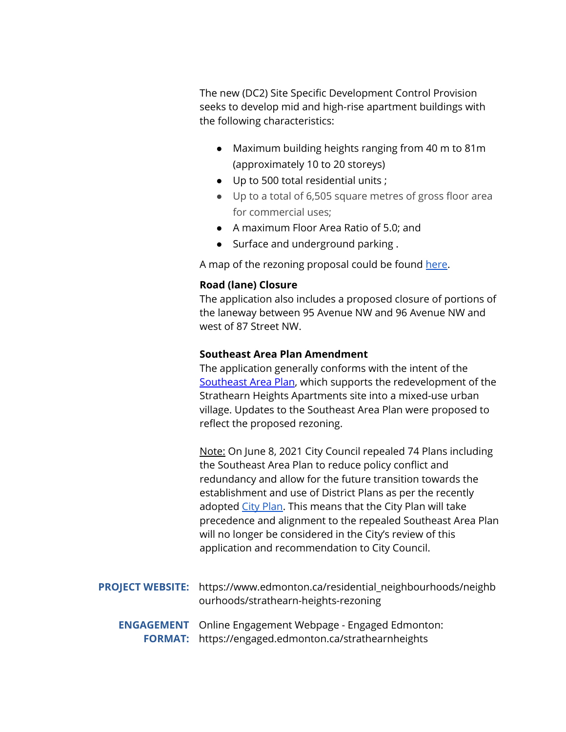The new (DC2) Site Specific Development Control Provision seeks to develop mid and high-rise apartment buildings with the following characteristics:

- Maximum building heights ranging from 40 m to 81m (approximately 10 to 20 storeys)
- Up to 500 total residential units ;
- Up to a total of 6,505 square metres of gross floor area for commercial uses;
- A maximum Floor Area Ratio of 5.0; and
- Surface and underground parking.

A map of the rezoning proposal could be found [here](https://www.edmonton.ca/sites/default/files/public-files/assets/LDA20-0192_RezoningMap.pdf).

#### **Road (lane) Closure**

The application also includes a proposed closure of portions of the laneway between 95 Avenue NW and 96 Avenue NW and west of 87 Street NW.

#### **Southeast Area Plan Amendment**

The application generally conforms with the intent of th[e](https://webdocs.edmonton.ca/infraplan/plans_in_effect/Southeast_Area_Plan_Consolidation.pdf) [Southeast](https://webdocs.edmonton.ca/infraplan/plans_in_effect/Southeast_Area_Plan_Consolidation.pdf) Area Plan, which supports the redevelopment of the Strathearn Heights Apartments site into a mixed-use urban village. Updates to the Southeast Area Plan were proposed to reflect the proposed rezoning.

Note: On June 8, 2021 City Council repealed 74 Plans including the Southeast Area Plan to reduce policy conflict and redundancy and allow for the future transition towards the establishment and use of District Plans as per the recently adopted City [Plan](http://edmonton.ca/cityplan). This means that the City Plan will take precedence and alignment to the repealed Southeast Area Plan will no longer be considered in the City's review of this application and recommendation to City Council.

- **PROJECT WEBSITE:** https://www.edmonton.ca/residential\_neighbourhoods/neighb ourhoods/strathearn-heights-rezoning **ENGAGEMENT** Online Engagement Webpage - Engaged Edmonton:
	- **FORMAT:** https://engaged.edmonton.ca/strathearnheights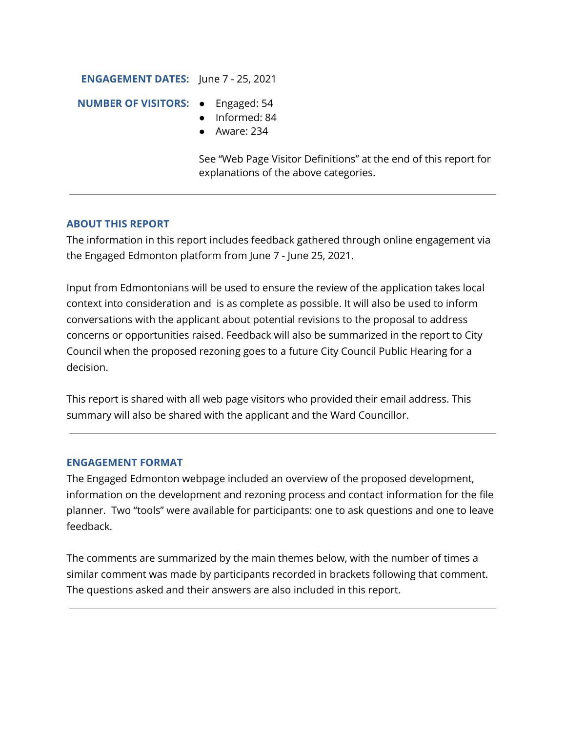#### **ENGAGEMENT DATES:** June 7 - 25, 2021

#### **NUMBER OF VISITORS:** ● Engaged: 54

- 
- Informed: 84
- Aware: 234

See "Web Page Visitor Definitions" at the end of this report for explanations of the above categories.

## **ABOUT THIS REPORT**

The information in this report includes feedback gathered through online engagement via the Engaged Edmonton platform from June 7 - June 25, 2021.

Input from Edmontonians will be used to ensure the review of the application takes local context into consideration and is as complete as possible. It will also be used to inform conversations with the applicant about potential revisions to the proposal to address concerns or opportunities raised. Feedback will also be summarized in the report to City Council when the proposed rezoning goes to a future City Council Public Hearing for a decision.

This report is shared with all web page visitors who provided their email address. This summary will also be shared with the applicant and the Ward Councillor.

#### **ENGAGEMENT FORMAT**

The Engaged Edmonton webpage included an overview of the proposed development, information on the development and rezoning process and contact information for the file planner. Two "tools" were available for participants: one to ask questions and one to leave feedback.

The comments are summarized by the main themes below, with the number of times a similar comment was made by participants recorded in brackets following that comment. The questions asked and their answers are also included in this report.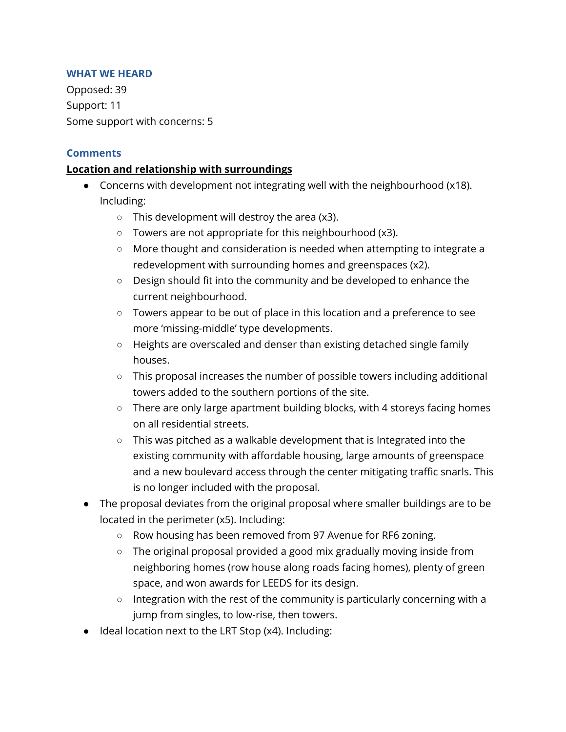#### **WHAT WE HEARD**

Opposed: 39 Support: 11 Some support with concerns: 5

#### **Comments**

#### **Location and relationship with surroundings**

- Concerns with development not integrating well with the neighbourhood (x18). Including:
	- $\circ$  This development will destroy the area (x3).
	- Towers are not appropriate for this neighbourhood (x3).
	- More thought and consideration is needed when attempting to integrate a redevelopment with surrounding homes and greenspaces (x2).
	- $\circ$  Design should fit into the community and be developed to enhance the current neighbourhood.
	- Towers appear to be out of place in this location and a preference to see more 'missing-middle' type developments.
	- Heights are overscaled and denser than existing detached single family houses.
	- This proposal increases the number of possible towers including additional towers added to the southern portions of the site.
	- There are only large apartment building blocks, with 4 storeys facing homes on all residential streets.
	- This was pitched as a walkable development that is Integrated into the existing community with affordable housing, large amounts of greenspace and a new boulevard access through the center mitigating traffic snarls. This is no longer included with the proposal.
- The proposal deviates from the original proposal where smaller buildings are to be located in the perimeter (x5). Including:
	- Row housing has been removed from 97 Avenue for RF6 zoning.
	- The original proposal provided a good mix gradually moving inside from neighboring homes (row house along roads facing homes), plenty of green space, and won awards for LEEDS for its design.
	- Integration with the rest of the community is particularly concerning with a jump from singles, to low-rise, then towers.
- Ideal location next to the LRT Stop (x4). Including: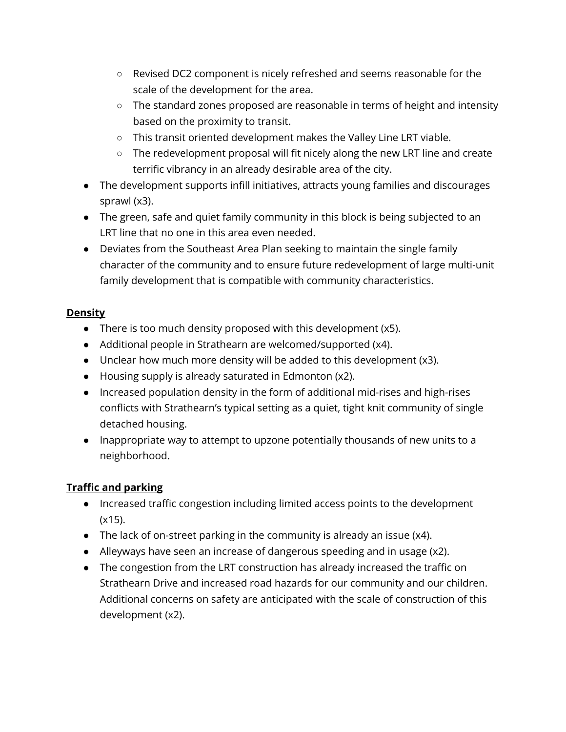- Revised DC2 component is nicely refreshed and seems reasonable for the scale of the development for the area.
- The standard zones proposed are reasonable in terms of height and intensity based on the proximity to transit.
- This transit oriented development makes the Valley Line LRT viable.
- The redevelopment proposal will fit nicely along the new LRT line and create terrific vibrancy in an already desirable area of the city.
- The development supports infill initiatives, attracts young families and discourages sprawl (x3).
- The green, safe and quiet family community in this block is being subjected to an LRT line that no one in this area even needed.
- Deviates from the Southeast Area Plan seeking to maintain the single family character of the community and to ensure future redevelopment of large multi-unit family development that is compatible with community characteristics.

## **Density**

- There is too much density proposed with this development (x5).
- Additional people in Strathearn are welcomed/supported (x4).
- $\bullet$  Unclear how much more density will be added to this development (x3).
- Housing supply is already saturated in Edmonton (x2).
- Increased population density in the form of additional mid-rises and high-rises conflicts with Strathearn's typical setting as a quiet, tight knit community of single detached housing.
- Inappropriate way to attempt to upzone potentially thousands of new units to a neighborhood.

## **Traffic and parking**

- Increased traffic congestion including limited access points to the development (x15).
- The lack of on-street parking in the community is already an issue (x4).
- Alleyways have seen an increase of dangerous speeding and in usage (x2).
- The congestion from the LRT construction has already increased the traffic on Strathearn Drive and increased road hazards for our community and our children. Additional concerns on safety are anticipated with the scale of construction of this development (x2).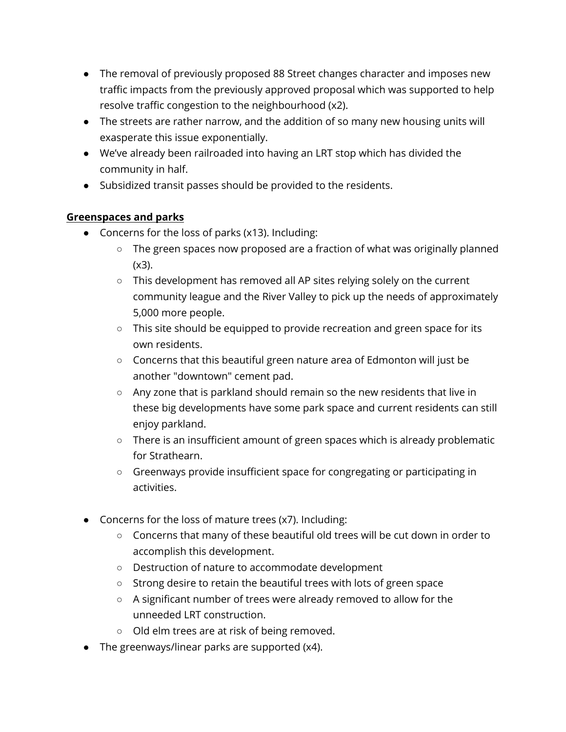- The removal of previously proposed 88 Street changes character and imposes new traffic impacts from the previously approved proposal which was supported to help resolve traffic congestion to the neighbourhood (x2).
- The streets are rather narrow, and the addition of so many new housing units will exasperate this issue exponentially.
- We've already been railroaded into having an LRT stop which has divided the community in half.
- Subsidized transit passes should be provided to the residents.

## **Greenspaces and parks**

- Concerns for the loss of parks (x13). Including:
	- The green spaces now proposed are a fraction of what was originally planned  $(x3)$ .
	- This development has removed all AP sites relying solely on the current community league and the River Valley to pick up the needs of approximately 5,000 more people.
	- This site should be equipped to provide recreation and green space for its own residents.
	- Concerns that this beautiful green nature area of Edmonton will just be another "downtown" cement pad.
	- Any zone that is parkland should remain so the new residents that live in these big developments have some park space and current residents can still enjoy parkland.
	- There is an insufficient amount of green spaces which is already problematic for Strathearn.
	- Greenways provide insufficient space for congregating or participating in activities.
- Concerns for the loss of mature trees (x7). Including:
	- Concerns that many of these beautiful old trees will be cut down in order to accomplish this development.
	- Destruction of nature to accommodate development
	- Strong desire to retain the beautiful trees with lots of green space
	- A significant number of trees were already removed to allow for the unneeded LRT construction.
	- Old elm trees are at risk of being removed.
- The greenways/linear parks are supported (x4).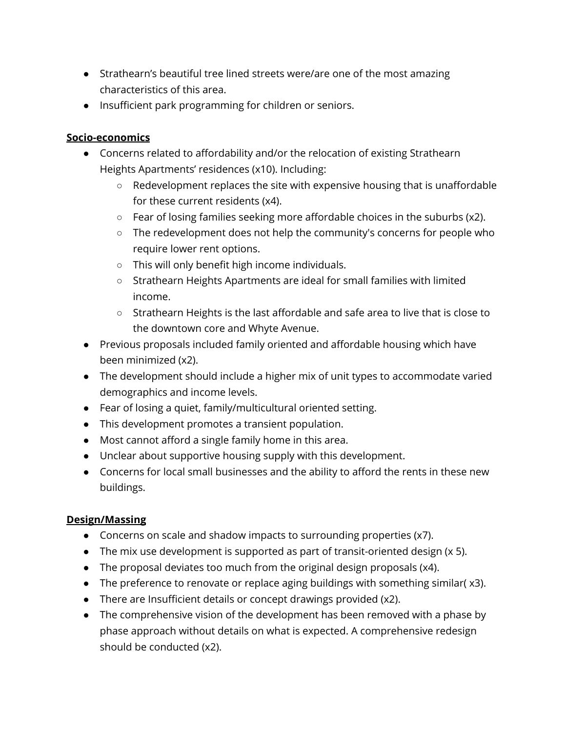- Strathearn's beautiful tree lined streets were/are one of the most amazing characteristics of this area.
- Insufficient park programming for children or seniors.

## **Socio-economics**

- Concerns related to affordability and/or the relocation of existing Strathearn Heights Apartments' residences (x10). Including:
	- $\circ$  Redevelopment replaces the site with expensive housing that is unaffordable for these current residents (x4).
	- Fear of losing families seeking more affordable choices in the suburbs (x2).
	- The redevelopment does not help the community's concerns for people who require lower rent options.
	- This will only benefit high income individuals.
	- Strathearn Heights Apartments are ideal for small families with limited income.
	- Strathearn Heights is the last affordable and safe area to live that is close to the downtown core and Whyte Avenue.
- Previous proposals included family oriented and affordable housing which have been minimized (x2).
- The development should include a higher mix of unit types to accommodate varied demographics and income levels.
- Fear of losing a quiet, family/multicultural oriented setting.
- This development promotes a transient population.
- Most cannot afford a single family home in this area.
- Unclear about supportive housing supply with this development.
- Concerns for local small businesses and the ability to afford the rents in these new buildings.

## **Design/Massing**

- Concerns on scale and shadow impacts to surrounding properties (x7).
- The mix use development is supported as part of transit-oriented design (x 5).
- The proposal deviates too much from the original design proposals (x4).
- The preference to renovate or replace aging buildings with something similar( x3).
- There are Insufficient details or concept drawings provided (x2).
- The comprehensive vision of the development has been removed with a phase by phase approach without details on what is expected. A comprehensive redesign should be conducted (x2).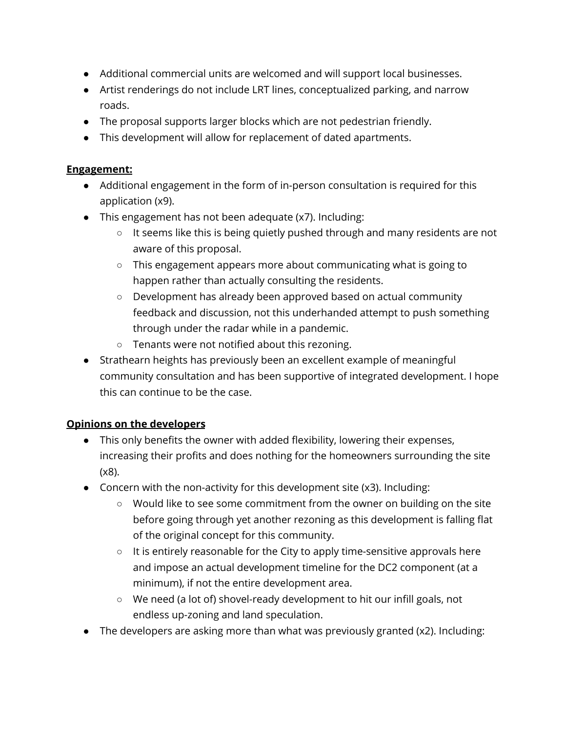- Additional commercial units are welcomed and will support local businesses.
- Artist renderings do not include LRT lines, conceptualized parking, and narrow roads.
- The proposal supports larger blocks which are not pedestrian friendly.
- This development will allow for replacement of dated apartments.

#### **Engagement:**

- Additional engagement in the form of in-person consultation is required for this application (x9).
- This engagement has not been adequate (x7). Including:
	- It seems like this is being quietly pushed through and many residents are not aware of this proposal.
	- This engagement appears more about communicating what is going to happen rather than actually consulting the residents.
	- Development has already been approved based on actual community feedback and discussion, not this underhanded attempt to push something through under the radar while in a pandemic.
	- Tenants were not notified about this rezoning.
- Strathearn heights has previously been an excellent example of meaningful community consultation and has been supportive of integrated development. I hope this can continue to be the case.

## **Opinions on the developers**

- This only benefits the owner with added flexibility, lowering their expenses, increasing their profits and does nothing for the homeowners surrounding the site (x8).
- Concern with the non-activity for this development site (x3). Including:
	- Would like to see some commitment from the owner on building on the site before going through yet another rezoning as this development is falling flat of the original concept for this community.
	- It is entirely reasonable for the City to apply time-sensitive approvals here and impose an actual development timeline for the DC2 component (at a minimum), if not the entire development area.
	- We need (a lot of) shovel-ready development to hit our infill goals, not endless up-zoning and land speculation.
- The developers are asking more than what was previously granted (x2). Including: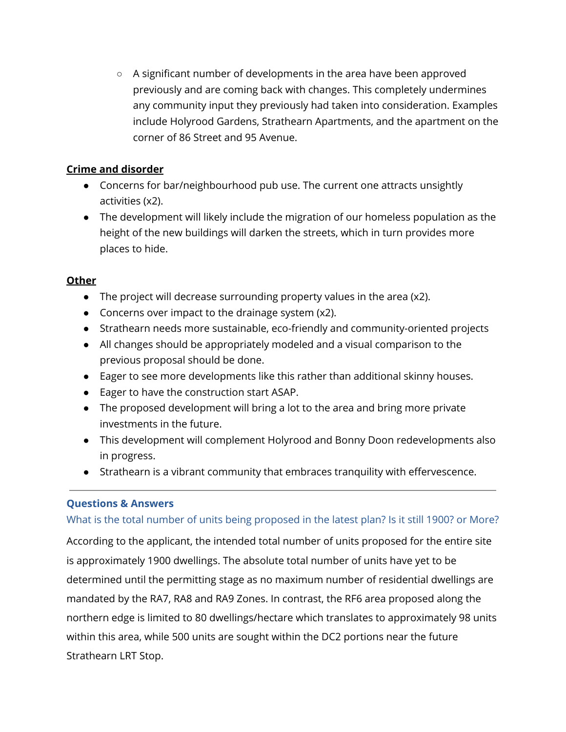○ A significant number of developments in the area have been approved previously and are coming back with changes. This completely undermines any community input they previously had taken into consideration. Examples include Holyrood Gardens, Strathearn Apartments, and the apartment on the corner of 86 Street and 95 Avenue.

## **Crime and disorder**

- Concerns for bar/neighbourhood pub use. The current one attracts unsightly activities (x2).
- The development will likely include the migration of our homeless population as the height of the new buildings will darken the streets, which in turn provides more places to hide.

## **Other**

- The project will decrease surrounding property values in the area (x2).
- Concerns over impact to the drainage system (x2).
- Strathearn needs more sustainable, eco-friendly and community-oriented projects
- All changes should be appropriately modeled and a visual comparison to the previous proposal should be done.
- Eager to see more developments like this rather than additional skinny houses.
- Eager to have the construction start ASAP.
- The proposed development will bring a lot to the area and bring more private investments in the future.
- This development will complement Holyrood and Bonny Doon redevelopments also in progress.
- Strathearn is a vibrant community that embraces tranquility with effervescence.

## **Questions & Answers**

## What is the total number of units being proposed in the latest plan? Is it still 1900? or More?

According to the applicant, the intended total number of units proposed for the entire site is approximately 1900 dwellings. The absolute total number of units have yet to be determined until the permitting stage as no maximum number of residential dwellings are mandated by the RA7, RA8 and RA9 Zones. In contrast, the RF6 area proposed along the northern edge is limited to 80 dwellings/hectare which translates to approximately 98 units within this area, while 500 units are sought within the DC2 portions near the future Strathearn LRT Stop.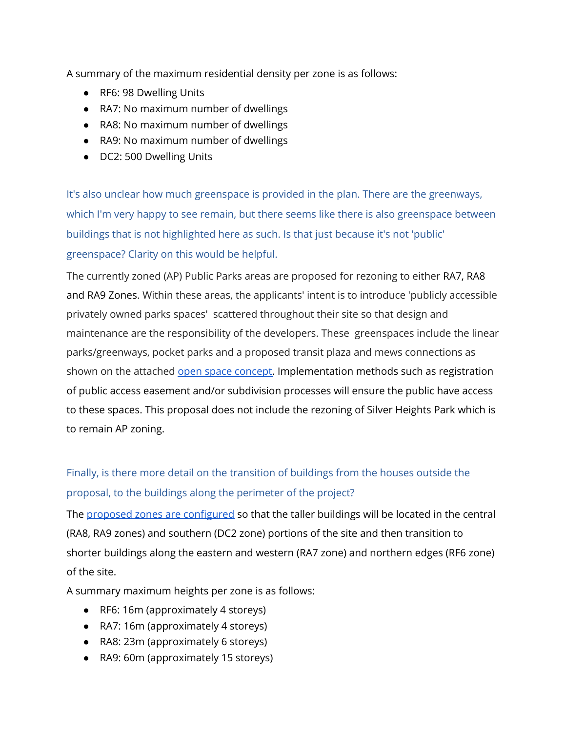A summary of the maximum residential density per zone is as follows:

- RF6: 98 Dwelling Units
- RA7: No maximum number of dwellings
- RA8: No maximum number of dwellings
- RA9: No maximum number of dwellings
- DC2: 500 Dwelling Units

It's also unclear how much greenspace is provided in the plan. There are the greenways, which I'm very happy to see remain, but there seems like there is also greenspace between buildings that is not highlighted here as such. Is that just because it's not 'public' greenspace? Clarity on this would be helpful.

The currently zoned (AP) Public Parks areas are proposed for rezoning to either RA7, RA8 and RA9 Zones. Within these areas, the applicants' intent is to introduce 'publicly accessible privately owned parks spaces' scattered throughout their site so that design and maintenance are the responsibility of the developers. These greenspaces include the linear parks/greenways, pocket parks and a proposed transit plaza and mews connections as shown on the attached open space [concept.](https://engaged.edmonton.ca/23050/widgets/93341/documents/58439) Implementation methods such as registration of public access easement and/or subdivision processes will ensure the public have access to these spaces. This proposal does not include the rezoning of Silver Heights Park which is to remain AP zoning.

## Finally, is there more detail on the transition of buildings from the houses outside the proposal, to the buildings along the perimeter of the project?

The proposed zones are [configured](https://engaged.edmonton.ca/23050/widgets/93341/documents/58436) so that the taller buildings will be located in the central (RA8, RA9 zones) and southern (DC2 zone) portions of the site and then transition to shorter buildings along the eastern and western (RA7 zone) and northern edges (RF6 zone) of the site.

A summary maximum heights per zone is as follows:

- RF6: 16m (approximately 4 storeys)
- RA7: 16m (approximately 4 storeys)
- RA8: 23m (approximately 6 storeys)
- RA9: 60m (approximately 15 storeys)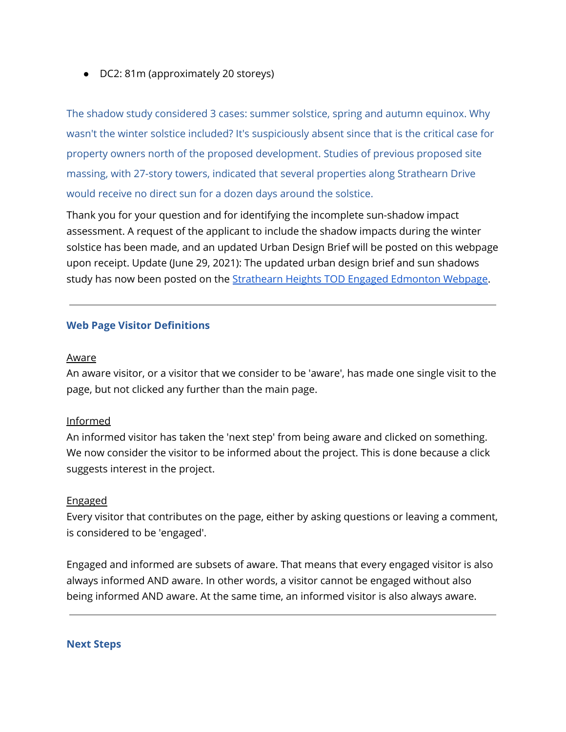● DC2: 81m (approximately 20 storeys)

The shadow study considered 3 cases: summer solstice, spring and autumn equinox. Why wasn't the winter solstice included? It's suspiciously absent since that is the critical case for property owners north of the proposed development. Studies of previous proposed site massing, with 27-story towers, indicated that several properties along Strathearn Drive would receive no direct sun for a dozen days around the solstice.

Thank you for your question and for identifying the incomplete sun-shadow impact assessment. A request of the applicant to include the shadow impacts during the winter solstice has been made, and an updated Urban Design Brief will be posted on this webpage upon receipt. Update (June 29, 2021): The updated urban design brief and sun shadows study has now been posted on the [Strathearn](https://engaged.edmonton.ca/strathearnheights?tool=qanda#tool_tab) Heights TOD Engaged Edmonton Webpage.

#### **Web Page Visitor Definitions**

#### Aware

An aware visitor, or a visitor that we consider to be 'aware', has made one single visit to the page, but not clicked any further than the main page.

#### Informed

An informed visitor has taken the 'next step' from being aware and clicked on something. We now consider the visitor to be informed about the project. This is done because a click suggests interest in the project.

#### Engaged

Every visitor that contributes on the page, either by asking questions or leaving a comment, is considered to be 'engaged'.

Engaged and informed are subsets of aware. That means that every engaged visitor is also always informed AND aware. In other words, a visitor cannot be engaged without also being informed AND aware. At the same time, an informed visitor is also always aware.

#### **Next Steps**